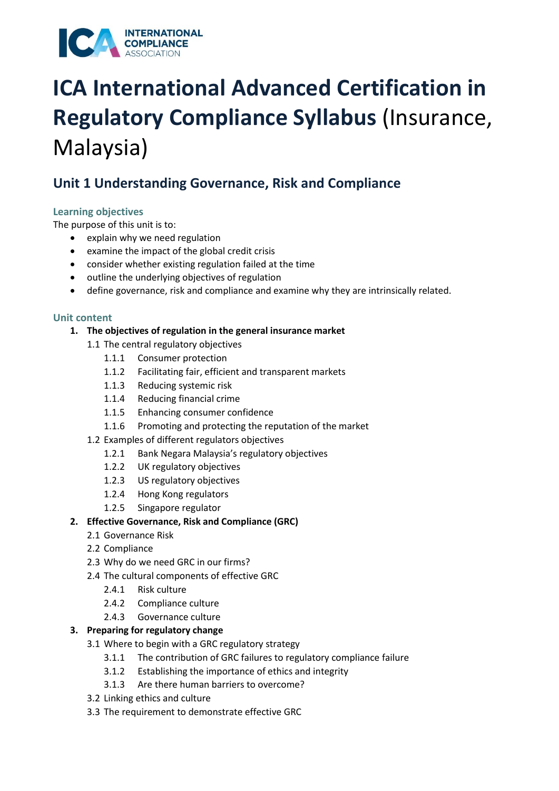

### **Unit 1 Understanding Governance, Risk and Compliance**

#### **Learning objectives**

The purpose of this unit is to:

- explain why we need regulation
- examine the impact of the global credit crisis
- consider whether existing regulation failed at the time
- outline the underlying objectives of regulation
- define governance, risk and compliance and examine why they are intrinsically related.

#### **Unit content**

- **1. The objectives of regulation in the general insurance market**
	- 1.1 The central regulatory objectives
		- 1.1.1 Consumer protection
		- 1.1.2 Facilitating fair, efficient and transparent markets
		- 1.1.3 Reducing systemic risk
		- 1.1.4 Reducing financial crime
		- 1.1.5 Enhancing consumer confidence
		- 1.1.6 Promoting and protecting the reputation of the market
	- 1.2 Examples of different regulators objectives
		- 1.2.1 Bank Negara Malaysia's regulatory objectives
		- 1.2.2 UK regulatory objectives
		- 1.2.3 US regulatory objectives
		- 1.2.4 Hong Kong regulators
		- 1.2.5 Singapore regulator

#### **2. Effective Governance, Risk and Compliance (GRC)**

- 2.1 Governance Risk
- 2.2 Compliance
- 2.3 Why do we need GRC in our firms?
- 2.4 The cultural components of effective GRC
	- 2.4.1 Risk culture
	- 2.4.2 Compliance culture
	- 2.4.3 Governance culture

#### **3. Preparing for regulatory change**

- 3.1 Where to begin with a GRC regulatory strategy
	- 3.1.1 The contribution of GRC failures to regulatory compliance failure
	- 3.1.2 Establishing the importance of ethics and integrity
	- 3.1.3 Are there human barriers to overcome?
- 3.2 Linking ethics and culture
- 3.3 The requirement to demonstrate effective GRC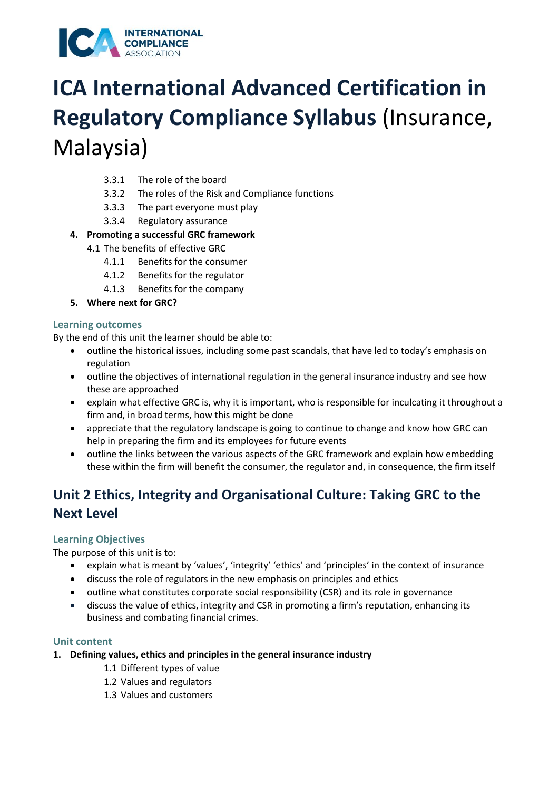

- 3.3.1 The role of the board
- 3.3.2 The roles of the Risk and Compliance functions
- 3.3.3 The part everyone must play
- 3.3.4 Regulatory assurance
- **4. Promoting a successful GRC framework** 
	- 4.1 The benefits of effective GRC
		- 4.1.1 Benefits for the consumer
		- 4.1.2 Benefits for the regulator
		- 4.1.3 Benefits for the company
- **5. Where next for GRC?**

#### **Learning outcomes**

By the end of this unit the learner should be able to:

- outline the historical issues, including some past scandals, that have led to today's emphasis on regulation
- outline the objectives of international regulation in the general insurance industry and see how these are approached
- explain what effective GRC is, why it is important, who is responsible for inculcating it throughout a firm and, in broad terms, how this might be done
- appreciate that the regulatory landscape is going to continue to change and know how GRC can help in preparing the firm and its employees for future events
- outline the links between the various aspects of the GRC framework and explain how embedding these within the firm will benefit the consumer, the regulator and, in consequence, the firm itself

### **Unit 2 Ethics, Integrity and Organisational Culture: Taking GRC to the Next Level**

#### **Learning Objectives**

The purpose of this unit is to:

- explain what is meant by 'values', 'integrity' 'ethics' and 'principles' in the context of insurance
- discuss the role of regulators in the new emphasis on principles and ethics
- outline what constitutes corporate social responsibility (CSR) and its role in governance
- discuss the value of ethics, integrity and CSR in promoting a firm's reputation, enhancing its business and combating financial crimes.

#### **Unit content**

- **1. Defining values, ethics and principles in the general insurance industry**
	- 1.1 Different types of value
	- 1.2 Values and regulators
	- 1.3 Values and customers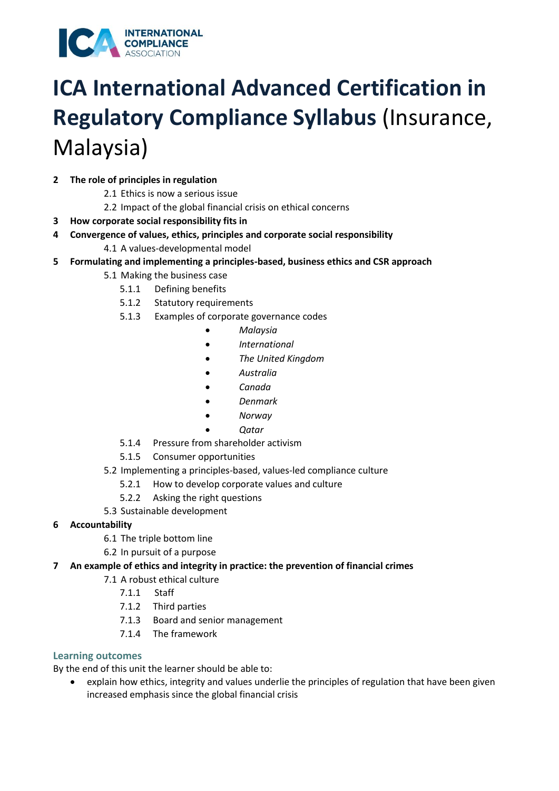

#### **2 The role of principles in regulation**

- 2.1 Ethics is now a serious issue
- 2.2 Impact of the global financial crisis on ethical concerns
- **3 How corporate social responsibility fits in**
- **4 Convergence of values, ethics, principles and corporate social responsibility** 
	- 4.1 A values-developmental model
- **5 Formulating and implementing a principles-based, business ethics and CSR approach** 
	- 5.1 Making the business case
		- 5.1.1 Defining benefits
		- 5.1.2 Statutory requirements
		- 5.1.3 Examples of corporate governance codes
			- *Malaysia*
			- *International*
			- *The United Kingdom*
			- *Australia*
			- *Canada*
			- *Denmark*
			- *Norway* 
				- *Qatar*
		- 5.1.4 Pressure from shareholder activism
		- 5.1.5 Consumer opportunities
	- 5.2 Implementing a principles-based, values-led compliance culture
		- 5.2.1 How to develop corporate values and culture
		- 5.2.2 Asking the right questions
	- 5.3 Sustainable development
- **6 Accountability** 
	- 6.1 The triple bottom line
	- 6.2 In pursuit of a purpose
- **7 An example of ethics and integrity in practice: the prevention of financial crimes** 
	- 7.1 A robust ethical culture
		- 7.1.1 Staff
		- 7.1.2 Third parties
		- 7.1.3 Board and senior management
		- 7.1.4 The framework

#### **Learning outcomes**

By the end of this unit the learner should be able to:

• explain how ethics, integrity and values underlie the principles of regulation that have been given increased emphasis since the global financial crisis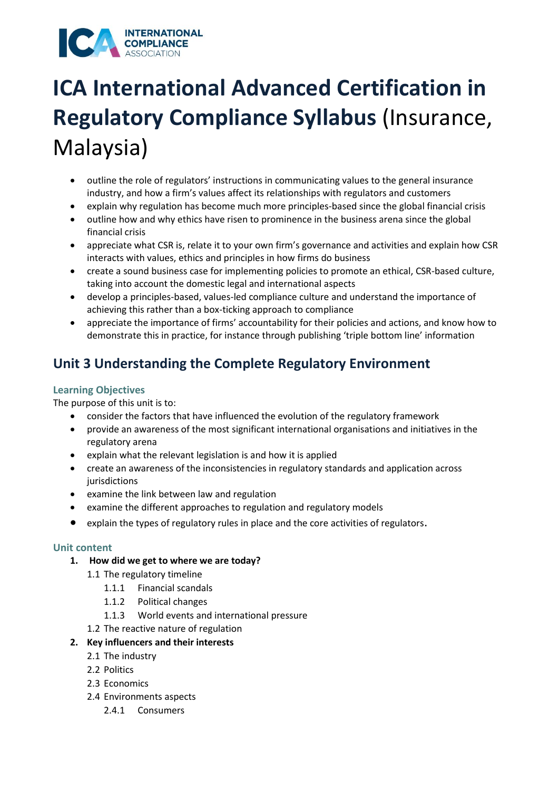

- outline the role of regulators' instructions in communicating values to the general insurance industry, and how a firm's values affect its relationships with regulators and customers
- explain why regulation has become much more principles-based since the global financial crisis
- outline how and why ethics have risen to prominence in the business arena since the global financial crisis
- appreciate what CSR is, relate it to your own firm's governance and activities and explain how CSR interacts with values, ethics and principles in how firms do business
- create a sound business case for implementing policies to promote an ethical, CSR-based culture, taking into account the domestic legal and international aspects
- develop a principles-based, values-led compliance culture and understand the importance of achieving this rather than a box-ticking approach to compliance
- appreciate the importance of firms' accountability for their policies and actions, and know how to demonstrate this in practice, for instance through publishing 'triple bottom line' information

### **Unit 3 Understanding the Complete Regulatory Environment**

#### **Learning Objectives**

The purpose of this unit is to:

- consider the factors that have influenced the evolution of the regulatory framework
- provide an awareness of the most significant international organisations and initiatives in the regulatory arena
- explain what the relevant legislation is and how it is applied
- create an awareness of the inconsistencies in regulatory standards and application across jurisdictions
- examine the link between law and regulation
- examine the different approaches to regulation and regulatory models
- explain the types of regulatory rules in place and the core activities of regulators.

#### **Unit content**

- **1. How did we get to where we are today?** 
	- 1.1 The regulatory timeline
		- 1.1.1 Financial scandals
		- 1.1.2 Political changes
		- 1.1.3 World events and international pressure
	- 1.2 The reactive nature of regulation
- **2. Key influencers and their interests** 
	- 2.1 The industry
	- 2.2 Politics
	- 2.3 Economics
	- 2.4 Environments aspects
		- 2.4.1 Consumers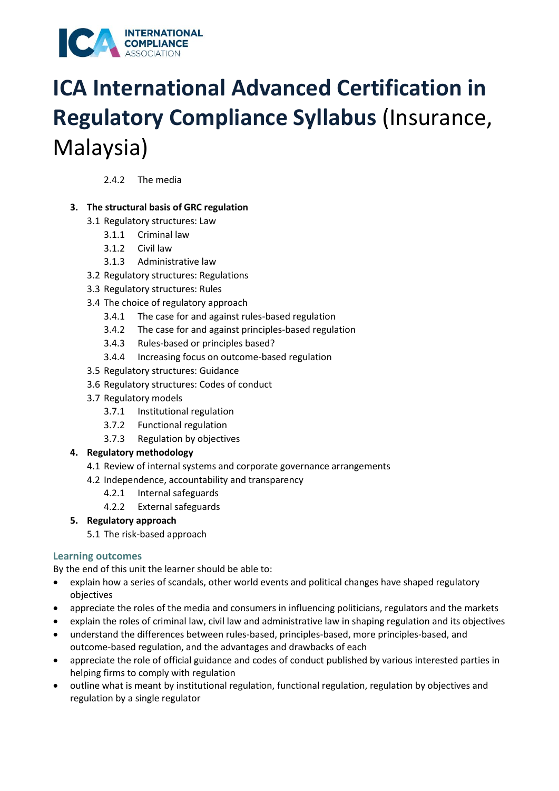

2.4.2 The media

#### **3. The structural basis of GRC regulation**

- 3.1 Regulatory structures: Law
	- 3.1.1 Criminal law
	- 3.1.2 Civil law
	- 3.1.3 Administrative law
- 3.2 Regulatory structures: Regulations
- 3.3 Regulatory structures: Rules
- 3.4 The choice of regulatory approach
	- 3.4.1 The case for and against rules-based regulation
	- 3.4.2 The case for and against principles-based regulation
	- 3.4.3 Rules-based or principles based?
	- 3.4.4 Increasing focus on outcome-based regulation
- 3.5 Regulatory structures: Guidance
- 3.6 Regulatory structures: Codes of conduct
- 3.7 Regulatory models
	- 3.7.1 Institutional regulation
	- 3.7.2 Functional regulation
	- 3.7.3 Regulation by objectives

#### **4. Regulatory methodology**

- 4.1 Review of internal systems and corporate governance arrangements
- 4.2 Independence, accountability and transparency
	- 4.2.1 Internal safeguards
	- 4.2.2 External safeguards

#### **5. Regulatory approach**

5.1 The risk-based approach

#### **Learning outcomes**

By the end of this unit the learner should be able to:

- explain how a series of scandals, other world events and political changes have shaped regulatory objectives
- appreciate the roles of the media and consumers in influencing politicians, regulators and the markets
- explain the roles of criminal law, civil law and administrative law in shaping regulation and its objectives
- understand the differences between rules-based, principles-based, more principles-based, and outcome-based regulation, and the advantages and drawbacks of each
- appreciate the role of official guidance and codes of conduct published by various interested parties in helping firms to comply with regulation
- outline what is meant by institutional regulation, functional regulation, regulation by objectives and regulation by a single regulator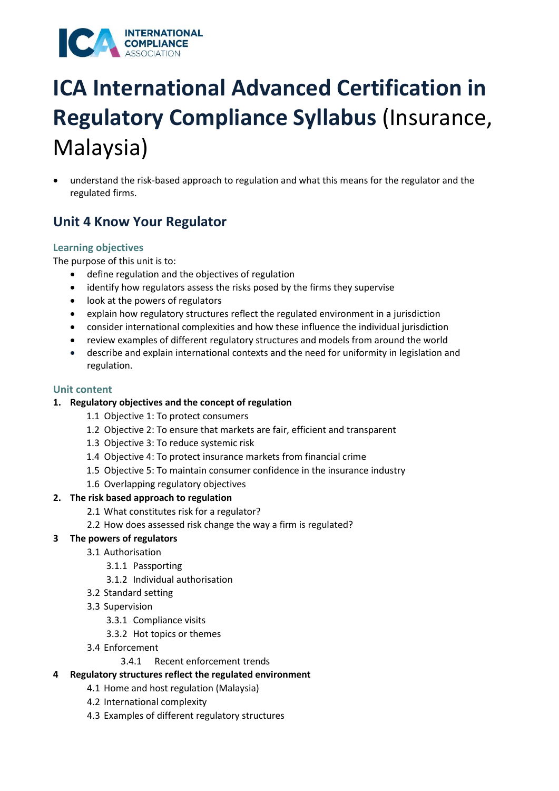

• understand the risk-based approach to regulation and what this means for the regulator and the regulated firms.

### **Unit 4 Know Your Regulator**

#### **Learning objectives**

The purpose of this unit is to:

- define regulation and the objectives of regulation
- identify how regulators assess the risks posed by the firms they supervise
- look at the powers of regulators
- explain how regulatory structures reflect the regulated environment in a jurisdiction
- consider international complexities and how these influence the individual jurisdiction
- review examples of different regulatory structures and models from around the world
- describe and explain international contexts and the need for uniformity in legislation and regulation.

#### **Unit content**

#### **1. Regulatory objectives and the concept of regulation**

- 1.1 Objective 1: To protect consumers
- 1.2 Objective 2: To ensure that markets are fair, efficient and transparent
- 1.3 Objective 3: To reduce systemic risk
- 1.4 Objective 4: To protect insurance markets from financial crime
- 1.5 Objective 5: To maintain consumer confidence in the insurance industry
- 1.6 Overlapping regulatory objectives

#### **2. The risk based approach to regulation**

- 2.1 What constitutes risk for a regulator?
- 2.2 How does assessed risk change the way a firm is regulated?
- **3 The powers of regulators** 
	- 3.1 Authorisation
		- 3.1.1 Passporting
		- 3.1.2 Individual authorisation
	- 3.2 Standard setting
	- 3.3 Supervision
		- 3.3.1 Compliance visits
		- 3.3.2 Hot topics or themes
	- 3.4 Enforcement
		- 3.4.1 Recent enforcement trends
- **4 Regulatory structures reflect the regulated environment** 
	- 4.1 Home and host regulation (Malaysia)
	- 4.2 International complexity
	- 4.3 Examples of different regulatory structures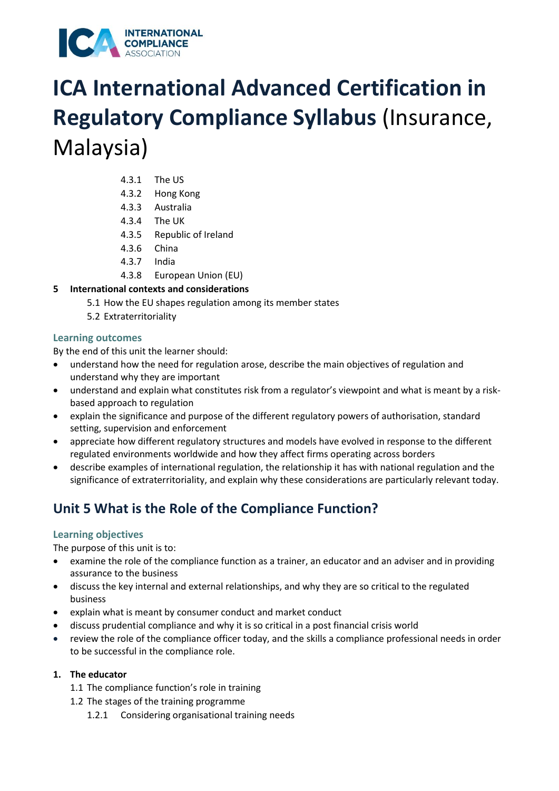

- 4.3.1 The US
- 4.3.2 Hong Kong
- 4.3.3 Australia
- 4.3.4 The UK
- 4.3.5 Republic of Ireland
- 4.3.6 China
- 4.3.7 India
- 4.3.8 European Union (EU)
- **5 International contexts and considerations** 
	- 5.1 How the EU shapes regulation among its member states
	- 5.2 Extraterritoriality

#### **Learning outcomes**

By the end of this unit the learner should:

- understand how the need for regulation arose, describe the main objectives of regulation and understand why they are important
- understand and explain what constitutes risk from a regulator's viewpoint and what is meant by a riskbased approach to regulation
- explain the significance and purpose of the different regulatory powers of authorisation, standard setting, supervision and enforcement
- appreciate how different regulatory structures and models have evolved in response to the different regulated environments worldwide and how they affect firms operating across borders
- describe examples of international regulation, the relationship it has with national regulation and the significance of extraterritoriality, and explain why these considerations are particularly relevant today.

### **Unit 5 What is the Role of the Compliance Function?**

#### **Learning objectives**

The purpose of this unit is to:

- examine the role of the compliance function as a trainer, an educator and an adviser and in providing assurance to the business
- discuss the key internal and external relationships, and why they are so critical to the regulated business
- explain what is meant by consumer conduct and market conduct
- discuss prudential compliance and why it is so critical in a post financial crisis world
- review the role of the compliance officer today, and the skills a compliance professional needs in order to be successful in the compliance role.

#### **1. The educator**

- 1.1 The compliance function's role in training
- 1.2 The stages of the training programme
	- 1.2.1 Considering organisational training needs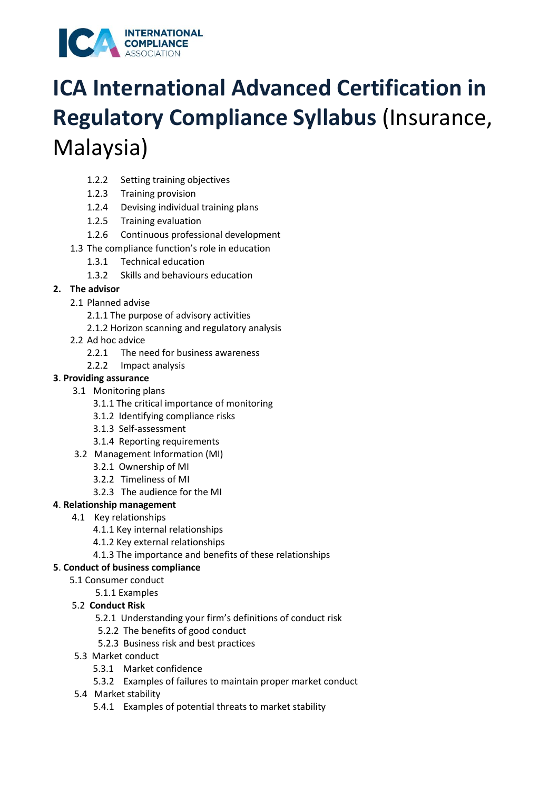

- 1.2.2 Setting training objectives
- 1.2.3 Training provision
- 1.2.4 Devising individual training plans
- 1.2.5 Training evaluation
- 1.2.6 Continuous professional development
- 1.3 The compliance function's role in education
	- 1.3.1 Technical education
	- 1.3.2 Skills and behaviours education

#### **2. The advisor**

- 2.1 Planned advise
	- 2.1.1 The purpose of advisory activities
	- 2.1.2 Horizon scanning and regulatory analysis
- 2.2 Ad hoc advice
	- 2.2.1 The need for business awareness
	- 2.2.2 Impact analysis

#### **3**. **Providing assurance**

- 3.1 Monitoring plans
	- 3.1.1 The critical importance of monitoring
	- 3.1.2 Identifying compliance risks
	- 3.1.3 Self-assessment
	- 3.1.4 Reporting requirements
- 3.2 Management Information (MI)
	- 3.2.1 Ownership of MI
	- 3.2.2 Timeliness of MI
	- 3.2.3 The audience for the MI

#### **4**. **Relationship management**

- 4.1 Key relationships
	- 4.1.1 Key internal relationships
	- 4.1.2 Key external relationships
	- 4.1.3 The importance and benefits of these relationships

#### **5**. **Conduct of business compliance**

- 5.1 Consumer conduct
	- 5.1.1 Examples

#### 5.2 **Conduct Risk**

- 5.2.1 Understanding your firm's definitions of conduct risk
- 5.2.2 The benefits of good conduct
- 5.2.3 Business risk and best practices
- 5.3 Market conduct
	- 5.3.1 Market confidence
	- 5.3.2 Examples of failures to maintain proper market conduct
- 5.4 Market stability
	- 5.4.1 Examples of potential threats to market stability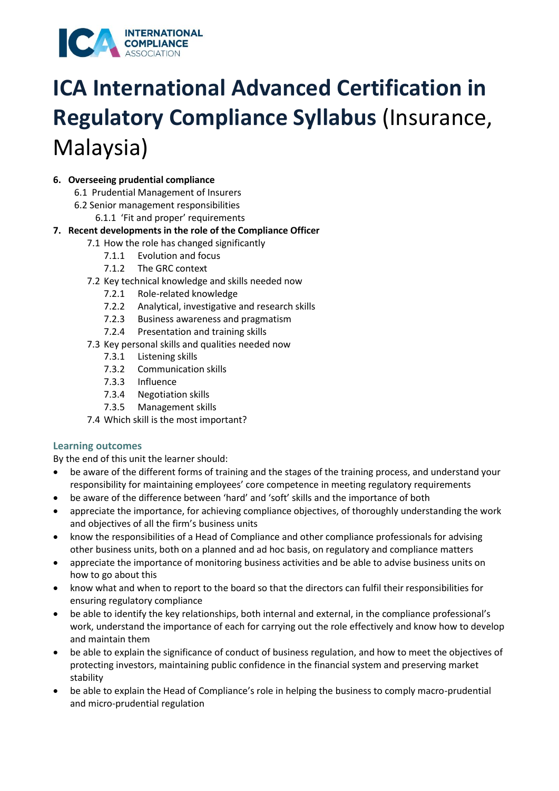

#### **6. Overseeing prudential compliance**

- 6.1 Prudential Management of Insurers
- 6.2 Senior management responsibilities
	- 6.1.1 'Fit and proper' requirements

#### **7. Recent developments in the role of the Compliance Officer**

- 7.1 How the role has changed significantly
	- 7.1.1 Evolution and focus
	- 7.1.2 The GRC context
- 7.2 Key technical knowledge and skills needed now
	- 7.2.1 Role-related knowledge
	- 7.2.2 Analytical, investigative and research skills
	- 7.2.3 Business awareness and pragmatism
	- 7.2.4 Presentation and training skills
- 7.3 Key personal skills and qualities needed now
	- 7.3.1 Listening skills
	- 7.3.2 Communication skills
	- 7.3.3 Influence
	- 7.3.4 Negotiation skills
	- 7.3.5 Management skills
- 7.4 Which skill is the most important?

#### **Learning outcomes**

By the end of this unit the learner should:

- be aware of the different forms of training and the stages of the training process, and understand your responsibility for maintaining employees' core competence in meeting regulatory requirements
- be aware of the difference between 'hard' and 'soft' skills and the importance of both
- appreciate the importance, for achieving compliance objectives, of thoroughly understanding the work and objectives of all the firm's business units
- know the responsibilities of a Head of Compliance and other compliance professionals for advising other business units, both on a planned and ad hoc basis, on regulatory and compliance matters
- appreciate the importance of monitoring business activities and be able to advise business units on how to go about this
- know what and when to report to the board so that the directors can fulfil their responsibilities for ensuring regulatory compliance
- be able to identify the key relationships, both internal and external, in the compliance professional's work, understand the importance of each for carrying out the role effectively and know how to develop and maintain them
- be able to explain the significance of conduct of business regulation, and how to meet the objectives of protecting investors, maintaining public confidence in the financial system and preserving market stability
- be able to explain the Head of Compliance's role in helping the business to comply macro-prudential and micro-prudential regulation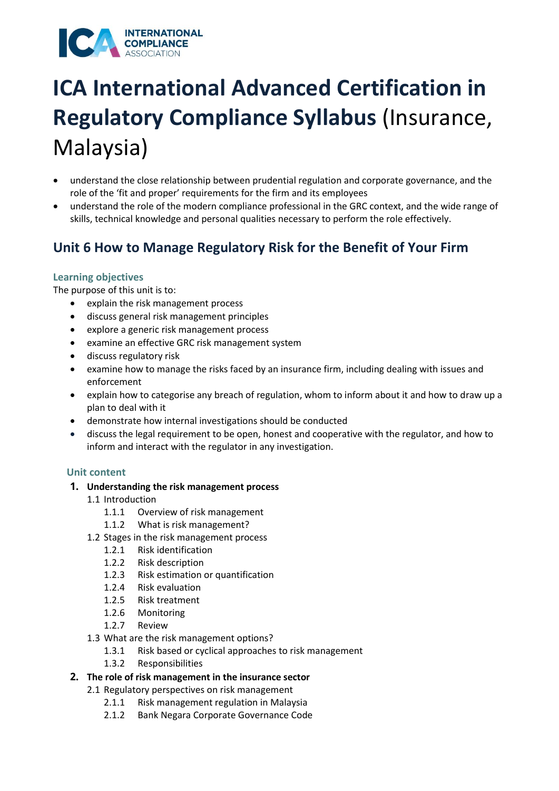### **INTERNATIONAL** COMPLIANCE

# **ICA International Advanced Certification in Regulatory Compliance Syllabus** (Insurance, Malaysia)

- understand the close relationship between prudential regulation and corporate governance, and the role of the 'fit and proper' requirements for the firm and its employees
- understand the role of the modern compliance professional in the GRC context, and the wide range of skills, technical knowledge and personal qualities necessary to perform the role effectively.

## **Unit 6 How to Manage Regulatory Risk for the Benefit of Your Firm**

### **Learning objectives**

The purpose of this unit is to:

- explain the risk management process
- discuss general risk management principles
- explore a generic risk management process
- examine an effective GRC risk management system
- discuss regulatory risk
- examine how to manage the risks faced by an insurance firm, including dealing with issues and enforcement
- explain how to categorise any breach of regulation, whom to inform about it and how to draw up a plan to deal with it
- demonstrate how internal investigations should be conducted
- discuss the legal requirement to be open, honest and cooperative with the regulator, and how to inform and interact with the regulator in any investigation.

### **Unit content**

### **1. Understanding the risk management process**

- 1.1 Introduction
	- 1.1.1 Overview of risk management
	- 1.1.2 What is risk management?
- 1.2 Stages in the risk management process
	- 1.2.1 Risk identification
	- 1.2.2 Risk description
	- 1.2.3 Risk estimation or quantification
	- 1.2.4 Risk evaluation
	- 1.2.5 Risk treatment
	- 1.2.6 Monitoring
	- 1.2.7 Review
- 1.3 What are the risk management options?
	- 1.3.1 Risk based or cyclical approaches to risk management
	- 1.3.2 Responsibilities
- **2. The role of risk management in the insurance sector** 
	- 2.1 Regulatory perspectives on risk management
		- 2.1.1 Risk management regulation in Malaysia
		- 2.1.2 Bank Negara Corporate Governance Code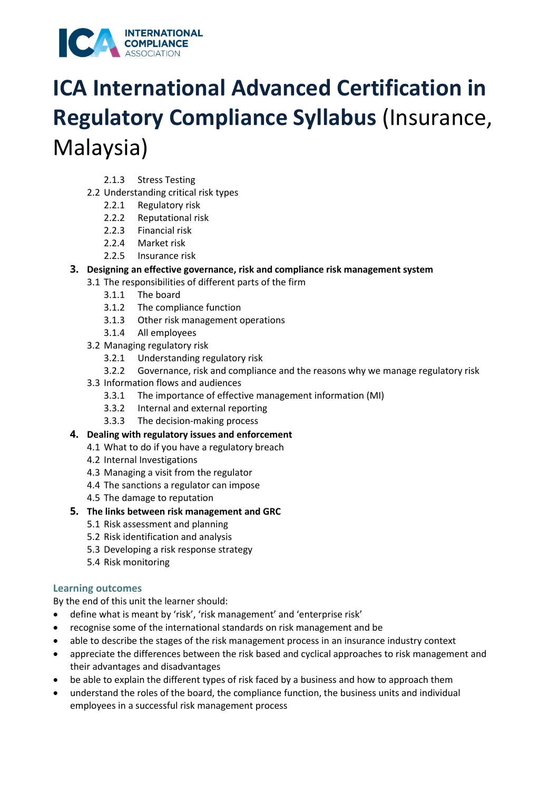

- 2.1.3 Stress Testing
- 2.2 Understanding critical risk types
	- 2.2.1 Regulatory risk
	- 2.2.2 Reputational risk
	- 2.2.3 Financial risk
	- 2.2.4 Market risk
	- 2.2.5 Insurance risk

### **3. Designing an effective governance, risk and compliance risk management system**

- 3.1 The responsibilities of different parts of the firm
	- 3.1.1 The board
	- 3.1.2 The compliance function
	- 3.1.3 Other risk management operations
	- 3.1.4 All employees
- 3.2 Managing regulatory risk
	- 3.2.1 Understanding regulatory risk
	- 3.2.2 Governance, risk and compliance and the reasons why we manage regulatory risk
- 3.3 Information flows and audiences
	- 3.3.1 The importance of effective management information (MI)
	- 3.3.2 Internal and external reporting
	- 3.3.3 The decision-making process
- **4. Dealing with regulatory issues and enforcement** 
	- 4.1 What to do if you have a regulatory breach
	- 4.2 Internal Investigations
	- 4.3 Managing a visit from the regulator
	- 4.4 The sanctions a regulator can impose
	- 4.5 The damage to reputation
- **5. The links between risk management and GRC** 
	- 5.1 Risk assessment and planning
	- 5.2 Risk identification and analysis
	- 5.3 Developing a risk response strategy
	- 5.4 Risk monitoring

### **Learning outcomes**

By the end of this unit the learner should:

- define what is meant by 'risk', 'risk management' and 'enterprise risk'
- recognise some of the international standards on risk management and be
- able to describe the stages of the risk management process in an insurance industry context
- appreciate the differences between the risk based and cyclical approaches to risk management and their advantages and disadvantages
- be able to explain the different types of risk faced by a business and how to approach them
- understand the roles of the board, the compliance function, the business units and individual employees in a successful risk management process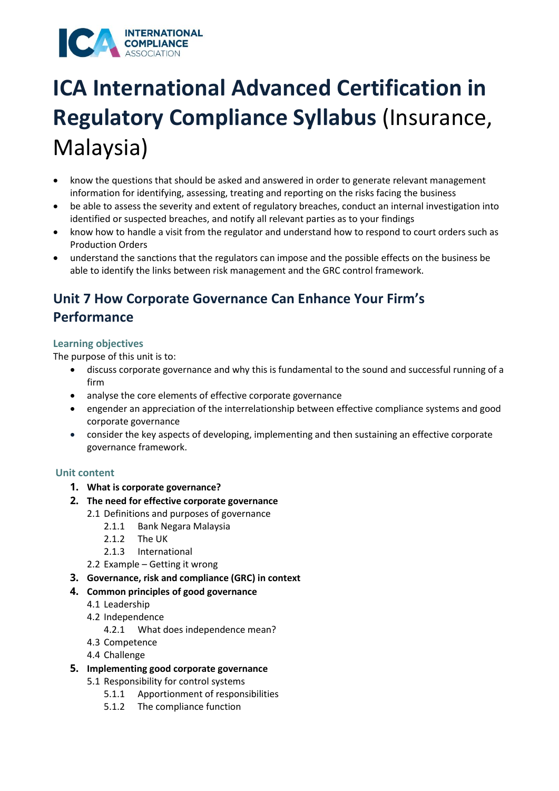### **INTERNATIONAL** COMPLIANCE

# **ICA International Advanced Certification in Regulatory Compliance Syllabus** (Insurance, Malaysia)

- know the questions that should be asked and answered in order to generate relevant management information for identifying, assessing, treating and reporting on the risks facing the business
- be able to assess the severity and extent of regulatory breaches, conduct an internal investigation into identified or suspected breaches, and notify all relevant parties as to your findings
- know how to handle a visit from the regulator and understand how to respond to court orders such as Production Orders
- understand the sanctions that the regulators can impose and the possible effects on the business be able to identify the links between risk management and the GRC control framework.

## **Unit 7 How Corporate Governance Can Enhance Your Firm's Performance**

#### **Learning objectives**

The purpose of this unit is to:

- discuss corporate governance and why this is fundamental to the sound and successful running of a firm
- analyse the core elements of effective corporate governance
- engender an appreciation of the interrelationship between effective compliance systems and good corporate governance
- consider the key aspects of developing, implementing and then sustaining an effective corporate governance framework.

### **Unit content**

- **1. What is corporate governance?**
- **2. The need for effective corporate governance** 
	- 2.1 Definitions and purposes of governance
		- 2.1.1 Bank Negara Malaysia
		- 2.1.2 The UK
		- 2.1.3 International
	- 2.2 Example Getting it wrong
- **3. Governance, risk and compliance (GRC) in context**
- **4. Common principles of good governance** 
	- 4.1 Leadership
	- 4.2 Independence
		- 4.2.1 What does independence mean?
	- 4.3 Competence
	- 4.4 Challenge
- **5. Implementing good corporate governance** 
	- 5.1 Responsibility for control systems
		- 5.1.1 Apportionment of responsibilities
		- 5.1.2 The compliance function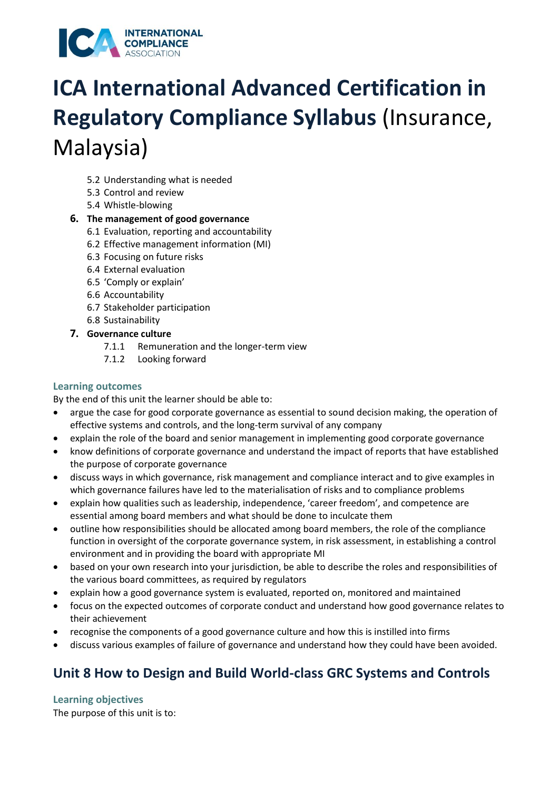

- 5.2 Understanding what is needed
- 5.3 Control and review
- 5.4 Whistle-blowing

#### **6. The management of good governance**

- 6.1 Evaluation, reporting and accountability
- 6.2 Effective management information (MI)
- 6.3 Focusing on future risks
- 6.4 External evaluation
- 6.5 'Comply or explain'
- 6.6 Accountability
- 6.7 Stakeholder participation
- 6.8 Sustainability
- **7. Governance culture** 
	- 7.1.1 Remuneration and the longer-term view
	- 7.1.2 Looking forward

#### **Learning outcomes**

By the end of this unit the learner should be able to:

- argue the case for good corporate governance as essential to sound decision making, the operation of effective systems and controls, and the long-term survival of any company
- explain the role of the board and senior management in implementing good corporate governance
- know definitions of corporate governance and understand the impact of reports that have established the purpose of corporate governance
- discuss ways in which governance, risk management and compliance interact and to give examples in which governance failures have led to the materialisation of risks and to compliance problems
- explain how qualities such as leadership, independence, 'career freedom', and competence are essential among board members and what should be done to inculcate them
- outline how responsibilities should be allocated among board members, the role of the compliance function in oversight of the corporate governance system, in risk assessment, in establishing a control environment and in providing the board with appropriate MI
- based on your own research into your jurisdiction, be able to describe the roles and responsibilities of the various board committees, as required by regulators
- explain how a good governance system is evaluated, reported on, monitored and maintained
- focus on the expected outcomes of corporate conduct and understand how good governance relates to their achievement
- recognise the components of a good governance culture and how this is instilled into firms
- discuss various examples of failure of governance and understand how they could have been avoided.

### **Unit 8 How to Design and Build World-class GRC Systems and Controls**

#### **Learning objectives**

The purpose of this unit is to: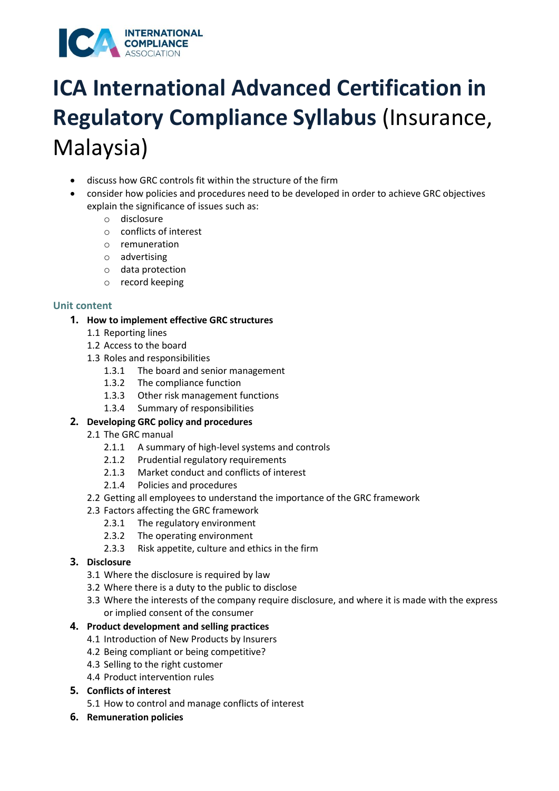

- discuss how GRC controls fit within the structure of the firm
- consider how policies and procedures need to be developed in order to achieve GRC objectives explain the significance of issues such as:
	- o disclosure
	- o conflicts of interest
	- o remuneration
	- o advertising
	- o data protection
	- o record keeping

#### **Unit content**

#### **1. How to implement effective GRC structures**

- 1.1 Reporting lines
- 1.2 Access to the board
- 1.3 Roles and responsibilities
	- 1.3.1 The board and senior management
	- 1.3.2 The compliance function
	- 1.3.3 Other risk management functions
	- 1.3.4 Summary of responsibilities

#### **2. Developing GRC policy and procedures**

- 2.1 The GRC manual
	- 2.1.1 A summary of high-level systems and controls
	- 2.1.2 Prudential regulatory requirements
	- 2.1.3 Market conduct and conflicts of interest
	- 2.1.4 Policies and procedures
- 2.2 Getting all employees to understand the importance of the GRC framework
- 2.3 Factors affecting the GRC framework
	- 2.3.1 The regulatory environment
	- 2.3.2 The operating environment
	- 2.3.3 Risk appetite, culture and ethics in the firm

#### **3. Disclosure**

- 3.1 Where the disclosure is required by law
- 3.2 Where there is a duty to the public to disclose
- 3.3 Where the interests of the company require disclosure, and where it is made with the express or implied consent of the consumer

#### **4. Product development and selling practices**

- 4.1 Introduction of New Products by Insurers
- 4.2 Being compliant or being competitive?
- 4.3 Selling to the right customer
- 4.4 Product intervention rules
- **5. Conflicts of interest**
	- 5.1 How to control and manage conflicts of interest
- **6. Remuneration policies**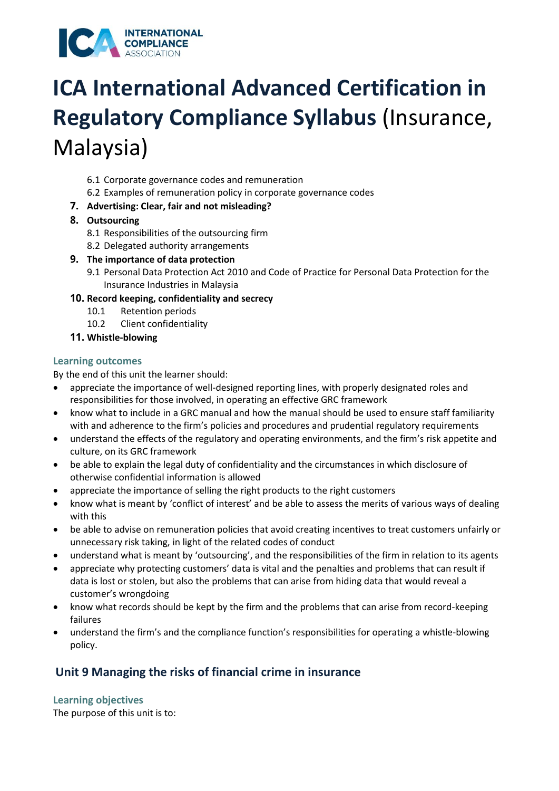

- 6.1 Corporate governance codes and remuneration
- 6.2 Examples of remuneration policy in corporate governance codes
- **7. Advertising: Clear, fair and not misleading?**
- **8. Outsourcing** 
	- 8.1 Responsibilities of the outsourcing firm
	- 8.2 Delegated authority arrangements
- **9. The importance of data protection** 
	- 9.1 Personal Data Protection Act 2010 and Code of Practice for Personal Data Protection for the Insurance Industries in Malaysia

#### **10. Record keeping, confidentiality and secrecy**

- 10.1 Retention periods
- 10.2 Client confidentiality
- **11. Whistle-blowing**

#### **Learning outcomes**

By the end of this unit the learner should:

- appreciate the importance of well-designed reporting lines, with properly designated roles and responsibilities for those involved, in operating an effective GRC framework
- know what to include in a GRC manual and how the manual should be used to ensure staff familiarity with and adherence to the firm's policies and procedures and prudential regulatory requirements
- understand the effects of the regulatory and operating environments, and the firm's risk appetite and culture, on its GRC framework
- be able to explain the legal duty of confidentiality and the circumstances in which disclosure of otherwise confidential information is allowed
- appreciate the importance of selling the right products to the right customers
- know what is meant by 'conflict of interest' and be able to assess the merits of various ways of dealing with this
- be able to advise on remuneration policies that avoid creating incentives to treat customers unfairly or unnecessary risk taking, in light of the related codes of conduct
- understand what is meant by 'outsourcing', and the responsibilities of the firm in relation to its agents
- appreciate why protecting customers' data is vital and the penalties and problems that can result if data is lost or stolen, but also the problems that can arise from hiding data that would reveal a customer's wrongdoing
- know what records should be kept by the firm and the problems that can arise from record-keeping failures
- understand the firm's and the compliance function's responsibilities for operating a whistle-blowing policy.

### **Unit 9 Managing the risks of financial crime in insurance**

#### **Learning objectives**

The purpose of this unit is to: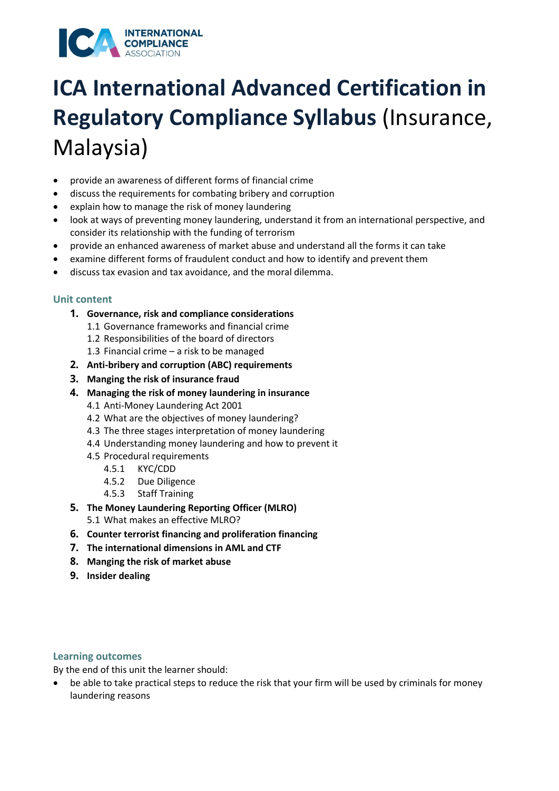#### **INTERNATIONAL COMPLIANCE** ICA

# **ICA International Advanced Certification in Regulatory Compliance Syllabus** (Insurance, Malaysia)

- provide an awareness of different forms of financial crime
- discuss the requirements for combating bribery and corruption
- explain how to manage the risk of money laundering
- look at ways of preventing money laundering, understand it from an international perspective, and consider its relationship with the funding of terrorism
- provide an enhanced awareness of market abuse and understand all the forms it can take
- examine different forms of fraudulent conduct and how to identify and prevent them
- discuss tax evasion and tax avoidance, and the moral dilemma.

### **Unit content**

- **1. Governance, risk and compliance considerations** 
	- 1.1 Governance frameworks and financial crime
	- 1.2 Responsibilities of the board of directors
	- 1.3 Financial crime a risk to be managed
- **2. Anti-bribery and corruption (ABC) requirements**
- **3. Manging the risk of insurance fraud**
- **4. Managing the risk of money laundering in insurance** 
	- 4.1 Anti-Money Laundering Act 2001
	- 4.2 What are the objectives of money laundering?
	- 4.3 The three stages interpretation of money laundering
	- 4.4 Understanding money laundering and how to prevent it
	- 4.5 Procedural requirements
		- 4.5.1 KYC/CDD
		- 4.5.2 Due Diligence
		- 4.5.3 Staff Training
- **5. The Money Laundering Reporting Officer (MLRO)** 
	- 5.1 What makes an effective MLRO?
- **6. Counter terrorist financing and proliferation financing**
- **7. The international dimensions in AML and CTF**
- **8. Manging the risk of market abuse**
- **9. Insider dealing**

### **Learning outcomes**

By the end of this unit the learner should:

• be able to take practical steps to reduce the risk that your firm will be used by criminals for money laundering reasons